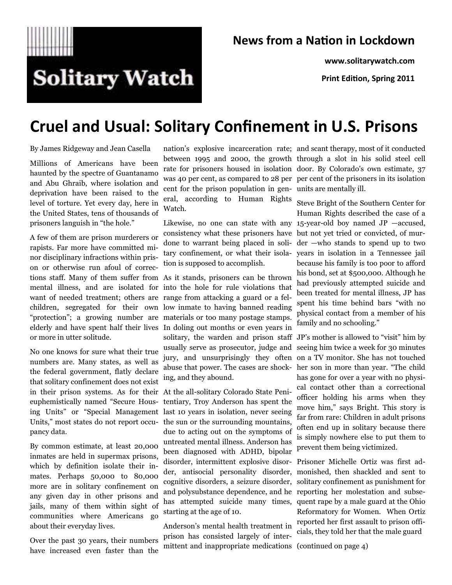

#### **News from a Nation in Lockdown**

**www.solitarywatch.com**

**Print Edition, Spring 2011**

# **Cruel and Usual: Solitary Confinement in U.S. Prisons**

By James Ridgeway and Jean Casella

Millions of Americans have been haunted by the spectre of Guantanamo and Abu Ghraib, where isolation and deprivation have been raised to the level of torture. Yet every day, here in the United States, tens of thousands of prisoners languish in "the hole."

A few of them are prison murderers or rapists. Far more have committed minor disciplinary infractions within prison or otherwise run afoul of corrections staff. Many of them suffer from As it stands, prisoners can be thrown mental illness, and are isolated for into the hole for rule violations that want of needed treatment; others are range from attacking a guard or a felchildren, segregated for their own low inmate to having banned reading "protection"; a growing number are materials or too many postage stamps. elderly and have spent half their lives or more in utter solitude.

No one knows for sure what their true numbers are. Many states, as well as the federal government, flatly declare that solitary confinement does not exist in their prison systems. As for their euphemistically named "Secure Housing Units" or "Special Management Units," most states do not report occupancy data.

By common estimate, at least 20,000 inmates are held in supermax prisons, which by definition isolate their inmates. Perhaps 50,000 to 80,000 more are in solitary confinement on any given day in other prisons and jails, many of them within sight of communities where Americans go about their everyday lives.

Over the past 30 years, their numbers have increased even faster than the

cent for the prison population in gen-units are mentally ill. eral, according to Human Rights Watch.

consistency what these prisoners have but not yet tried or convicted, of murdone to warrant being placed in solition is supposed to accomplish.

In doling out months or even years in solitary, the warden and prison staff JP's mother is allowed to "visit" him by usually serve as prosecutor, judge and jury, and unsurprisingly they often on a TV monitor. She has not touched abuse that power. The cases are shock-her son in more than year. ―The child ing, and they abound.

At the all-solitary Colorado State Penitentiary, Troy Anderson has spent the last 10 years in isolation, never seeing the sun or the surrounding mountains, due to acting out on the symptoms of untreated mental illness. Anderson has been diagnosed with ADHD, bipolar disorder, intermittent explosive disorand polysubstance dependence, and he reporting her molestation and subsestarting at the age of 10.

Anderson's mental health treatment in prison has consisted largely of intermittent and inappropriate medications (continued on page 4)

nation's explosive incarceration rate; and scant therapy, most of it conducted between 1995 and 2000, the growth through a slot in his solid steel cell rate for prisoners housed in isolation door. By Colorado's own estimate, 37 was 40 per cent, as compared to 28 per per cent of the prisoners in its isolation

Likewise, no one can state with any 15-year-old boy named JP —accused, tary confinement, or what their isola-years in isolation in a Tennessee jail Steve Bright of the Southern Center for Human Rights described the case of a der —who stands to spend up to two because his family is too poor to afford his bond, set at \$500,000. Although he had previously attempted suicide and been treated for mental illness, JP has spent his time behind bars "with no physical contact from a member of his family and no schooling."

> seeing him twice a week for 30 minutes has gone for over a year with no physical contact other than a correctional officer holding his arms when they move him," says Bright. This story is far from rare: Children in adult prisons often end up in solitary because there is simply nowhere else to put them to prevent them being victimized.

der, antisocial personality disorder, monished, then shackled and sent to cognitive disorders, a seizure disorder, solitary confinement as punishment for has attempted suicide many times, quent rape by a male guard at the Ohio Prisoner Michelle Ortiz was first ad-Reformatory for Women. When Ortiz reported her first assault to prison officials, they told her that the male guard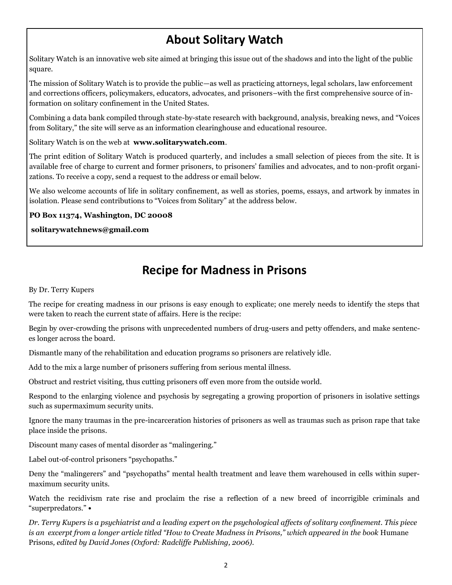## **About Solitary Watch**

Solitary Watch is an innovative web site aimed at bringing this issue out of the shadows and into the light of the public square.

The mission of Solitary Watch is to provide the public—as well as practicing attorneys, legal scholars, law enforcement and corrections officers, policymakers, educators, advocates, and prisoners–with the first comprehensive source of information on solitary confinement in the United States.

Combining a data bank compiled through state-by-state research with background, analysis, breaking news, and "Voices from Solitary," the site will serve as an information clearinghouse and educational resource.

Solitary Watch is on the web at **www.solitarywatch.com**.

The print edition of Solitary Watch is produced quarterly, and includes a small selection of pieces from the site. It is available free of charge to current and former prisoners, to prisoners' families and advocates, and to non-profit organizations. To receive a copy, send a request to the address or email below.

We also welcome accounts of life in solitary confinement, as well as stories, poems, essays, and artwork by inmates in isolation. Please send contributions to "Voices from Solitary" at the address below.

**PO Box 11374, Washington, DC 20008**

**solitarywatchnews@gmail.com**

### **Recipe for Madness in Prisons**

By Dr. Terry Kupers

The recipe for creating madness in our prisons is easy enough to explicate; one merely needs to identify the steps that were taken to reach the current state of affairs. Here is the recipe:

Begin by over-crowding the prisons with unprecedented numbers of drug-users and petty offenders, and make sentences longer across the board.

Dismantle many of the rehabilitation and education programs so prisoners are relatively idle.

Add to the mix a large number of prisoners suffering from serious mental illness.

Obstruct and restrict visiting, thus cutting prisoners off even more from the outside world.

Respond to the enlarging violence and psychosis by segregating a growing proportion of prisoners in isolative settings such as supermaximum security units.

Ignore the many traumas in the pre-incarceration histories of prisoners as well as traumas such as prison rape that take place inside the prisons.

Discount many cases of mental disorder as "malingering."

Label out-of-control prisoners "psychopaths."

Deny the "malingerers" and "psychopaths" mental health treatment and leave them warehoused in cells within supermaximum security units.

Watch the recidivism rate rise and proclaim the rise a reflection of a new breed of incorrigible criminals and ―superpredators.‖ **•**

*Dr. Terry Kupers is a psychiatrist and a leading expert on the psychological affects of solitary confinement. This piece is an excerpt from a longer article titled "How to Create Madness in Prisons," which appeared in the book* Humane Prisons*, edited by David Jones (Oxford: Radcliffe Publishing, 2006).*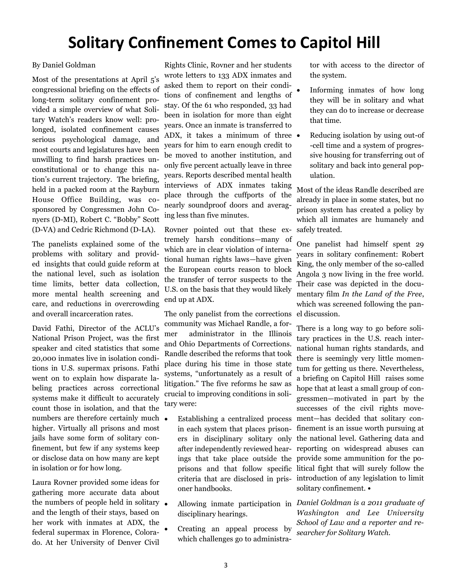## **Solitary Confinement Comes to Capitol Hill**

#### By Daniel Goldman

Most of the presentations at April 5's congressional briefing on the effects of long-term solitary confinement provided a simple overview of what Solitary Watch's readers know well: prolonged, isolated confinement causes serious psychological damage, and most courts and legislatures have been unwilling to find harsh practices unconstitutional or to change this nation's current trajectory. The briefing, held in a packed room at the Rayburn House Office Building, was cosponsored by Congressmen John Conyers (D-MI), Robert C. "Bobby" Scott (D-VA) and Cedric Richmond (D-LA).

The panelists explained some of the problems with solitary and provided insights that could guide reform at the national level, such as isolation time limits, better data collection, more mental health screening and care, and reductions in overcrowding and overall incarceration rates.

David Fathi, Director of the ACLU's National Prison Project, was the first speaker and cited statistics that some 20,000 inmates live in isolation conditions in U.S. supermax prisons. Fathi went on to explain how disparate labeling practices across correctional systems make it difficult to accurately count those in isolation, and that the numbers are therefore certainly much higher. Virtually all prisons and most jails have some form of solitary confinement, but few if any systems keep or disclose data on how many are kept in isolation or for how long.

Laura Rovner provided some ideas for gathering more accurate data about the numbers of people held in solitary  $\bullet$ and the length of their stays, based on her work with inmates at ADX, the federal supermax in Florence, Colorado. At her University of Denver Civil

Rights Clinic, Rovner and her students wrote letters to 133 ADX inmates and asked them to report on their conditions of confinement and lengths of stay. Of the 61 who responded, 33 had been in isolation for more than eight years. Once an inmate is transferred to ADX, it takes a minimum of three years for him to earn enough credit to be moved to another institution, and only five percent actually leave in three years. Reports described mental health interviews of ADX inmates taking place through the cuffports of the nearly soundproof doors and averaging less than five minutes.

Rovner pointed out that these extremely harsh conditions—many of which are in clear violation of international human rights laws—have given the European courts reason to block the transfer of terror suspects to the U.S. on the basis that they would likely end up at ADX.

The only panelist from the corrections community was Michael Randle, a former administrator in the Illinois and Ohio Departments of Corrections. Randle described the reforms that took place during his time in those state systems, "unfortunately as a result of litigation." The five reforms he saw as crucial to improving conditions in solitary were:

- Establishing a centralized process ment—has decided that solitary cononer handbooks.
- disciplinary hearings.
- Creating an appeal process by which challenges go to administra-

tor with access to the director of the system.

- Informing inmates of how long they will be in solitary and what they can do to increase or decrease that time.
- Reducing isolation by using out-of -cell time and a system of progressive housing for transferring out of solitary and back into general population.

Most of the ideas Randle described are already in place in some states, but no prison system has created a policy by which all inmates are humanely and safely treated.

One panelist had himself spent 29 years in solitary confinement: Robert King, the only member of the so-called Angola 3 now living in the free world. Their case was depicted in the documentary film *In the Land of the Free*, which was screened following the panel discussion.

in each system that places prison-finement is an issue worth pursuing at ers in disciplinary solitary only the national level. Gathering data and after independently reviewed hear-reporting on widespread abuses can ings that take place outside the provide some ammunition for the poprisons and that follow specific litical fight that will surely follow the criteria that are disclosed in pris-introduction of any legislation to limit There is a long way to go before solitary practices in the U.S. reach international human rights standards, and there is seemingly very little momentum for getting us there. Nevertheless, a briefing on Capitol Hill raises some hope that at least a small group of congressmen—motivated in part by the successes of the civil rights movesolitary confinement. **•**

 Allowing inmate participation in *Daniel Goldman is a 2011 graduate of Washington and Lee University School of Law and a reporter and researcher for Solitary Watch.*